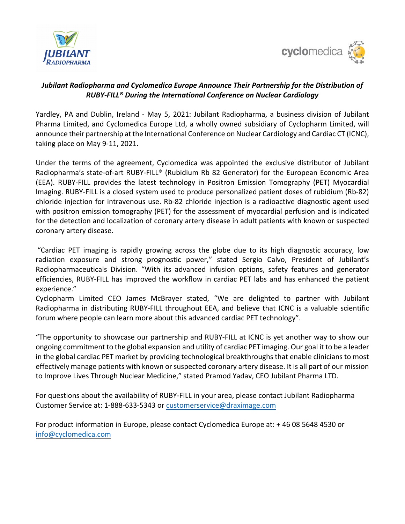



## *Jubilant Radiopharma and Cyclomedica Europe Announce Their Partnership for the Distribution of RUBY-FILL® During the International Conference on Nuclear Cardiology*

Yardley, PA and Dublin, Ireland - May 5, 2021: Jubilant Radiopharma, a business division of Jubilant Pharma Limited, and Cyclomedica Europe Ltd, a wholly owned subsidiary of Cyclopharm Limited, will announce their partnership at the International Conference on Nuclear Cardiology and Cardiac CT (ICNC), taking place on May 9-11, 2021.

Under the terms of the agreement, Cyclomedica was appointed the exclusive distributor of Jubilant Radiopharma's state-of-art RUBY-FILL® (Rubidium Rb 82 Generator) for the European Economic Area (EEA). RUBY-FILL provides the latest technology in Positron Emission Tomography (PET) Myocardial Imaging. RUBY-FILL is a closed system used to produce personalized patient doses of rubidium (Rb-82) chloride injection for intravenous use. Rb-82 chloride injection is a radioactive diagnostic agent used with positron emission tomography (PET) for the assessment of myocardial perfusion and is indicated for the detection and localization of coronary artery disease in adult patients with known or suspected coronary artery disease.

"Cardiac PET imaging is rapidly growing across the globe due to its high diagnostic accuracy, low radiation exposure and strong prognostic power," stated Sergio Calvo, President of Jubilant's Radiopharmaceuticals Division. "With its advanced infusion options, safety features and generator efficiencies, RUBY-FILL has improved the workflow in cardiac PET labs and has enhanced the patient experience."

Cyclopharm Limited CEO James McBrayer stated, "We are delighted to partner with Jubilant Radiopharma in distributing RUBY-FILL throughout EEA, and believe that ICNC is a valuable scientific forum where people can learn more about this advanced cardiac PET technology".

"The opportunity to showcase our partnership and RUBY-FILL at ICNC is yet another way to show our ongoing commitment to the global expansion and utility of cardiac PET imaging. Our goal it to be a leader in the global cardiac PET market by providing technological breakthroughs that enable clinicians to most effectively manage patients with known or suspected coronary artery disease. It is all part of our mission to Improve Lives Through Nuclear Medicine," stated Pramod Yadav, CEO Jubilant Pharma LTD.

For questions about the availability of RUBY-FILL in your area, please contact Jubilant Radiopharma Customer Service at: 1-888-633-5343 or [customerservice@draximage.com](mailto:customerservice@draximage.com)

For product information in Europe, please contact Cyclomedica Europe at: + 46 08 5648 4530 or [info@cyclomedica.com](mailto:info@cyclomedica.com)